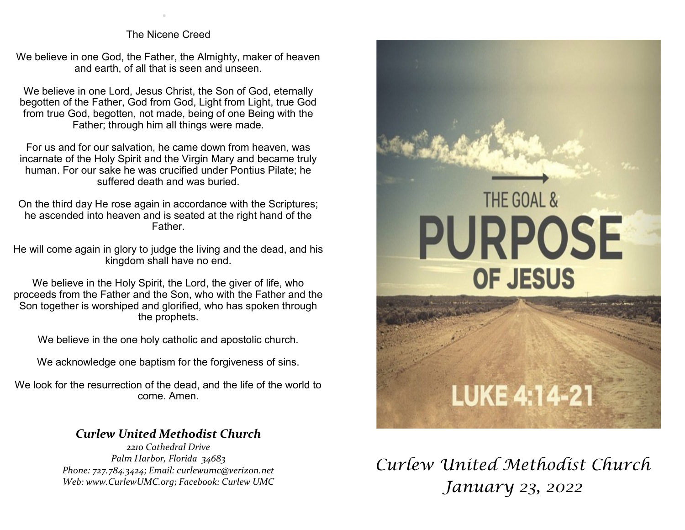The Nicene Creed

.

We believe in one God, the Father, the Almighty, maker of heaven and earth, of all that is seen and unseen.

We believe in one Lord, Jesus Christ, the Son of God, eternally begotten of the Father, God from God, Light from Light, true God from true God, begotten, not made, being of one Being with the Father; through him all things were made.

For us and for our salvation, he came down from heaven, was incarnate of the Holy Spirit and the Virgin Mary and became truly human. For our sake he was crucified under Pontius Pilate; he suffered death and was buried.

On the third day He rose again in accordance with the Scriptures; he ascended into heaven and is seated at the right hand of the Father.

He will come again in glory to judge the living and the dead, and his kingdom shall have no end.

We believe in the Holy Spirit, the Lord, the giver of life, who proceeds from the Father and the Son, who with the Father and the Son together is worshiped and glorified, who has spoken through the prophets.

We believe in the one holy catholic and apostolic church.

We acknowledge one baptism for the forgiveness of sins.

We look for the resurrection of the dead, and the life of the world to come. Amen.

## *Curlew United Methodist Church*

*2210 Cathedral Drive Palm Harbor, Florida 34683 Phone: 727.784.3424; Email: curlewumc@verizon.net Web: www.CurlewUMC.org; Facebook: Curlew UMC*



*Curlew United Methodist Church January 23, 2022*